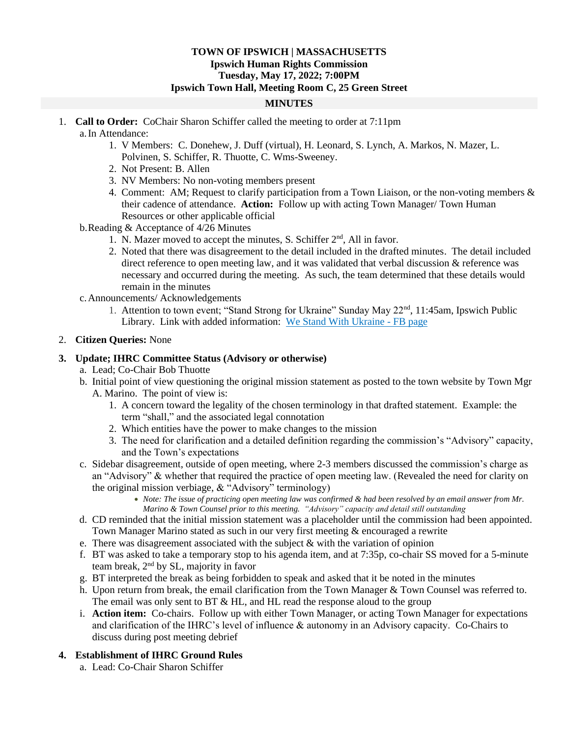## **TOWN OF IPSWICH | MASSACHUSETTS Ipswich Human Rights Commission Tuesday, May 17, 2022; 7:00PM Ipswich Town Hall, Meeting Room C, 25 Green Street**

## **MINUTES**

- 1. **Call to Order:** CoChair Sharon Schiffer called the meeting to order at 7:11pm a.In Attendance:
	- 1. V Members: C. Donehew, J. Duff (virtual), H. Leonard, S. Lynch, A. Markos, N. Mazer, L. Polvinen, S. Schiffer, R. Thuotte, C. Wms-Sweeney.
	- 2. Not Present: B. Allen
	- 3. NV Members: No non-voting members present
	- 4. Comment: AM; Request to clarify participation from a Town Liaison, or the non-voting members & their cadence of attendance. **Action:** Follow up with acting Town Manager/ Town Human Resources or other applicable official
	- b.Reading & Acceptance of 4/26 Minutes
		- 1. N. Mazer moved to accept the minutes, S. Schiffer 2<sup>nd</sup>, All in favor.
		- 2. Noted that there was disagreement to the detail included in the drafted minutes. The detail included direct reference to open meeting law, and it was validated that verbal discussion & reference was necessary and occurred during the meeting. As such, the team determined that these details would remain in the minutes
	- c.Announcements/ Acknowledgements
		- 1. Attention to town event; "Stand Strong for Ukraine" Sunday May 22<sup>nd</sup>, 11:45am, Ipswich Public Library. Link with added information: [We Stand With Ukraine -](https://www.facebook.com/events/363536679140885/?acontext=%7B%22ref%22%3A%2252%22%2C%22action_history%22%3A%22%5b%7B%5C%22surface%5C%22%3A%5C%22share_link%5C%22%2C%5C%22mechanism%5C%22%3A%5C%22share_link%5C%22%2C%5C%22extra_data%5C%22%3A%7B%5C%22invite_link_id%5C%22%3A342621447935553%7D%7D%5d%22%7D) FB page

## 2. **Citizen Queries:** None

## **3. Update; IHRC Committee Status (Advisory or otherwise)**

- a. Lead; Co-Chair Bob Thuotte
- b. Initial point of view questioning the original mission statement as posted to the town website by Town Mgr A. Marino. The point of view is:
	- 1. A concern toward the legality of the chosen terminology in that drafted statement. Example: the term "shall," and the associated legal connotation
	- 2. Which entities have the power to make changes to the mission
	- 3. The need for clarification and a detailed definition regarding the commission's "Advisory" capacity, and the Town's expectations
- c. Sidebar disagreement, outside of open meeting, where 2-3 members discussed the commission's charge as an "Advisory" & whether that required the practice of open meeting law. (Revealed the need for clarity on the original mission verbiage, & "Advisory" terminology)
	- *Note: The issue of practicing open meeting law was confirmed & had been resolved by an email answer from Mr. Marino & Town Counsel prior to this meeting. "Advisory" capacity and detail still outstanding*
- d. CD reminded that the initial mission statement was a placeholder until the commission had been appointed. Town Manager Marino stated as such in our very first meeting & encouraged a rewrite
- e. There was disagreement associated with the subject  $&$  with the variation of opinion
- f. BT was asked to take a temporary stop to his agenda item, and at 7:35p, co-chair SS moved for a 5-minute team break, 2nd by SL, majority in favor
- g. BT interpreted the break as being forbidden to speak and asked that it be noted in the minutes
- h. Upon return from break, the email clarification from the Town Manager & Town Counsel was referred to. The email was only sent to BT & HL, and HL read the response aloud to the group
- i. **Action item:** Co-chairs. Follow up with either Town Manager, or acting Town Manager for expectations and clarification of the IHRC's level of influence & autonomy in an Advisory capacity. Co-Chairs to discuss during post meeting debrief

# **4. Establishment of IHRC Ground Rules**

a. Lead: Co-Chair Sharon Schiffer